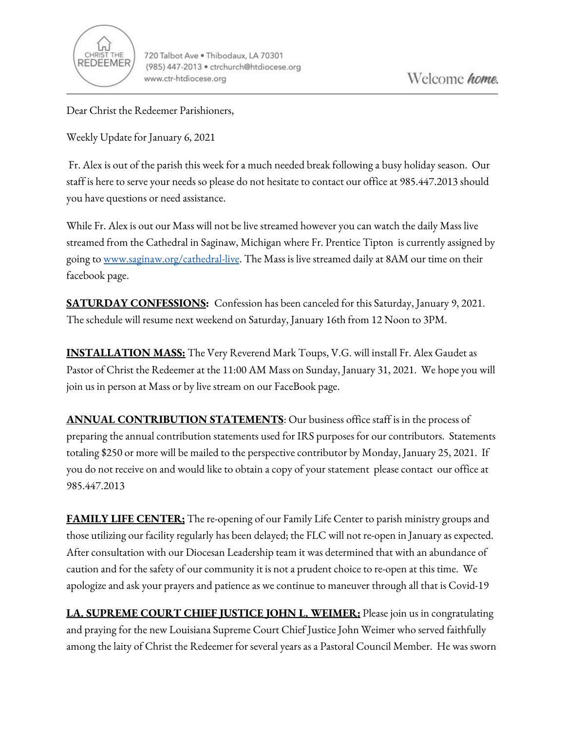

Dear Christ the Redeemer Parishioners,

Weekly Update for January 6, 2021

Fr. Alex is out of the parish this week for a much needed break following a busy holiday season. Our staff is here to serve your needs so please do not hesitate to contact our office at 985.447.2013 should you have questions or need assistance.

While Fr. Alex is out our Mass will not be live streamed however you can watch the daily Mass live streamed from the Cathedral in Saginaw, Michigan where Fr. Prentice Tipton is currently assigned by going to [www.saginaw.org/cathedral-live.](http://www.saginaw.org/cathedral-live) The Mass is live streamed daily at 8AM our time on their facebook page.

**SATURDAY CONFESSIONS:** Confession has been canceled for this Saturday, January 9, 2021. The schedule will resume next weekend on Saturday, January 16th from 12 Noon to 3PM.

**INSTALLATION MASS:** The Very Reverend Mark Toups, V.G. will install Fr. Alex Gaudet as Pastor of Christ the Redeemer at the 11:00 AM Mass on Sunday, January 31, 2021. We hope you will join us in person at Mass or by live stream on our FaceBook page.

**ANNUAL CONTRIBUTION STATEMENTS**: Our business office staff is in the process of preparing the annual contribution statements used for IRS purposes for our contributors. Statements totaling \$250 or more will be mailed to the perspective contributor by Monday, January 25, 2021. If you do not receive on and would like to obtain a copy of your statement please contact our office at 985.447.2013

**FAMILY LIFE CENTER;** The re-opening of our Family Life Center to parish ministry groups and those utilizing our facility regularly has been delayed; the FLC will not re-open in January as expected. After consultation with our Diocesan Leadership team it was determined that with an abundance of caution and for the safety of our community it is not a prudent choice to re-open at this time. We apologize and ask your prayers and patience as we continue to maneuver through all that is Covid-19

**LA. SUPREME COURT CHIEF JUSTICE JOHN L. WEIMER:** Please join us in congratulating and praying for the new Louisiana Supreme Court Chief Justice John Weimer who served faithfully among the laity of Christ the Redeemer for several years as a Pastoral Council Member. He was sworn